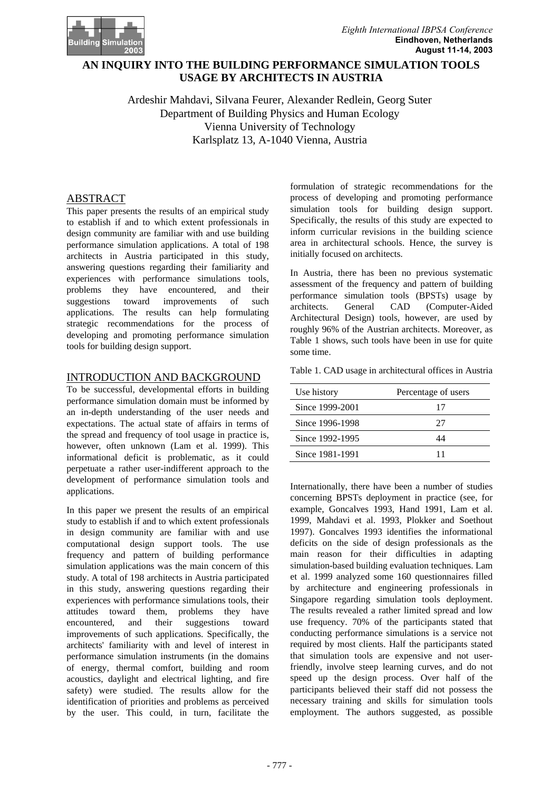

# **An inquiry into the building performance simulation tools usage by architects in Austria USAGE BY ARCHITECTS IN AUSTRIA AN INQUIRY INTO THE BUILDING PERFORMANCE SIMULATION TOOLS**

Ardeshir Mahdavi, Silvana Feurer, Alexander Redlein, Georg Suter Department of Building Physics and Human Ecology Vienna University of Technology Karlsplatz 13, A-1040 Vienna, Austria

# ABSTRACT

This paper presents the results of an empirical study to establish if and to which extent professionals in design community are familiar with and use building performance simulation applications. A total of 198 architects in Austria participated in this study, answering questions regarding their familiarity and experiences with performance simulations tools, problems they have encountered, and their suggestions toward improvements of such applications. The results can help formulating strategic recommendations for the process of developing and promoting performance simulation tools for building design support.

# INTRODUCTION AND BACKGROUND

To be successful, developmental efforts in building performance simulation domain must be informed by an in-depth understanding of the user needs and expectations. The actual state of affairs in terms of the spread and frequency of tool usage in practice is, however, often unknown (Lam et al. 1999). This informational deficit is problematic, as it could perpetuate a rather user-indifferent approach to the development of performance simulation tools and applications.

In this paper we present the results of an empirical study to establish if and to which extent professionals in design community are familiar with and use computational design support tools. The use frequency and pattern of building performance simulation applications was the main concern of this study. A total of 198 architects in Austria participated in this study, answering questions regarding their experiences with performance simulations tools, their attitudes toward them, problems they have encountered, and their suggestions toward improvements of such applications. Specifically, the architects' familiarity with and level of interest in performance simulation instruments (in the domains of energy, thermal comfort, building and room acoustics, daylight and electrical lighting, and fire safety) were studied. The results allow for the identification of priorities and problems as perceived by the user. This could, in turn, facilitate the

formulation of strategic recommendations for the process of developing and promoting performance simulation tools for building design support. Specifically, the results of this study are expected to inform curricular revisions in the building science area in architectural schools. Hence, the survey is initially focused on architects.

In Austria, there has been no previous systematic assessment of the frequency and pattern of building performance simulation tools (BPSTs) usage by architects. General CAD (Computer-Aided Architectural Design) tools, however, are used by roughly 96% of the Austrian architects. Moreover, as Table 1 shows, such tools have been in use for quite some time.

Table 1. CAD usage in architectural offices in Austria

| Use history     | Percentage of users |
|-----------------|---------------------|
| Since 1999-2001 | 17                  |
| Since 1996-1998 | 27                  |
| Since 1992-1995 | 14                  |
| Since 1981-1991 |                     |

Internationally, there have been a number of studies concerning BPSTs deployment in practice (see, for example, Goncalves 1993, Hand 1991, Lam et al. 1999, Mahdavi et al. 1993, Plokker and Soethout 1997). Goncalves 1993 identifies the informational deficits on the side of design professionals as the main reason for their difficulties in adapting simulation-based building evaluation techniques. Lam et al. 1999 analyzed some 160 questionnaires filled by architecture and engineering professionals in Singapore regarding simulation tools deployment. The results revealed a rather limited spread and low use frequency. 70% of the participants stated that conducting performance simulations is a service not required by most clients. Half the participants stated that simulation tools are expensive and not userfriendly, involve steep learning curves, and do not speed up the design process. Over half of the participants believed their staff did not possess the necessary training and skills for simulation tools employment. The authors suggested, as possible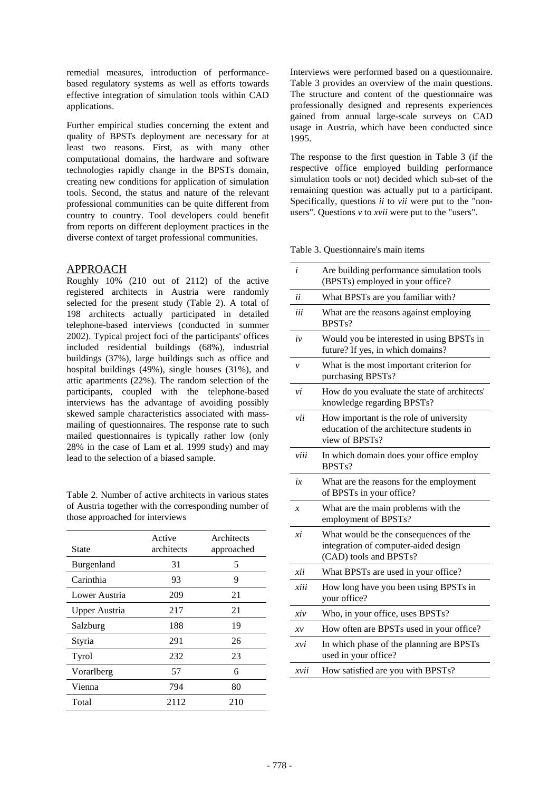remedial measures, introduction of performancebased regulatory systems as well as efforts towards effective integration of simulation tools within CAD applications.

Further empirical studies concerning the extent and quality of BPSTs deployment are necessary for at least two reasons. First, as with many other computational domains, the hardware and software technologies rapidly change in the BPSTs domain, creating new conditions for application of simulation tools. Second, the status and nature of the relevant professional communities can be quite different from country to country. Tool developers could benefit from reports on different deployment practices in the diverse context of target professional communities.

## APPROACH

Roughly 10% (210 out of 2112) of the active registered architects in Austria were randomly selected for the present study (Table 2). A total of 198 architects actually participated in detailed telephone-based interviews (conducted in summer 2002). Typical project foci of the participants' offices included residential buildings (68%), industrial buildings (37%), large buildings such as office and hospital buildings (49%), single houses (31%), and attic apartments (22%). The random selection of the participants, coupled with the telephone-based interviews has the advantage of avoiding possibly skewed sample characteristics associated with massmailing of questionnaires. The response rate to such mailed questionnaires is typically rather low (only 28% in the case of Lam et al. 1999 study) and may lead to the selection of a biased sample.

Table 2. Number of active architects in various states of Austria together with the corresponding number of those approached for interviews

| State                | Active<br>architects | Architects<br>approached |
|----------------------|----------------------|--------------------------|
| Burgenland           | 31                   | 5                        |
| Carinthia            | 93                   | 9                        |
| Lower Austria        | 209                  | 21                       |
| <b>Upper Austria</b> | 217                  | 21                       |
| Salzburg             | 188                  | 19                       |
| Styria               | 291                  | 26                       |
| Tyrol                | 232                  | 23                       |
| Vorarlberg           | 57                   | 6                        |
| Vienna               | 794                  | 80                       |
| Total                | 2112                 | 210                      |

Interviews were performed based on a questionnaire. Table 3 provides an overview of the main questions. The structure and content of the questionnaire was professionally designed and represents experiences gained from annual large-scale surveys on CAD usage in Austria, which have been conducted since 1995.

The response to the first question in Table 3 (if the respective office employed building performance simulation tools or not) decided which sub-set of the remaining question was actually put to a participant. Specifically, questions *ii* to *vii* were put to the "nonusers". Questions *v* to *xvii* were put to the "users".

Table 3. Questionnaire's main items

| i                | Are building performance simulation tools<br>(BPSTs) employed in your office?                           |
|------------------|---------------------------------------------------------------------------------------------------------|
| ii               | What BPSTs are you familiar with?                                                                       |
| iii              | What are the reasons against employing<br>BPSTs?                                                        |
| iν               | Would you be interested in using BPSTs in<br>future? If yes, in which domains?                          |
| $\mathcal V$     | What is the most important criterion for<br>purchasing BPSTs?                                           |
| νi               | How do you evaluate the state of architects'<br>knowledge regarding BPSTs?                              |
| vii              | How important is the role of university<br>education of the architecture students in<br>view of BPSTs?  |
| viii             | In which domain does your office employ<br>BPST <sub>s</sub> ?                                          |
| ix               | What are the reasons for the employment<br>of BPSTs in your office?                                     |
| $\boldsymbol{x}$ | What are the main problems with the<br>employment of BPSTs?                                             |
| хi               | What would be the consequences of the<br>integration of computer-aided design<br>(CAD) tools and BPSTs? |
| xii              | What BPSTs are used in your office?                                                                     |
| xiii             | How long have you been using BPSTs in<br>your office?                                                   |
| xiv              | Who, in your office, uses BPSTs?                                                                        |
| $x\nu$           | How often are BPSTs used in your office?                                                                |
| xvi              | In which phase of the planning are BPSTs<br>used in your office?                                        |
| xvii             | How satisfied are you with BPSTs?                                                                       |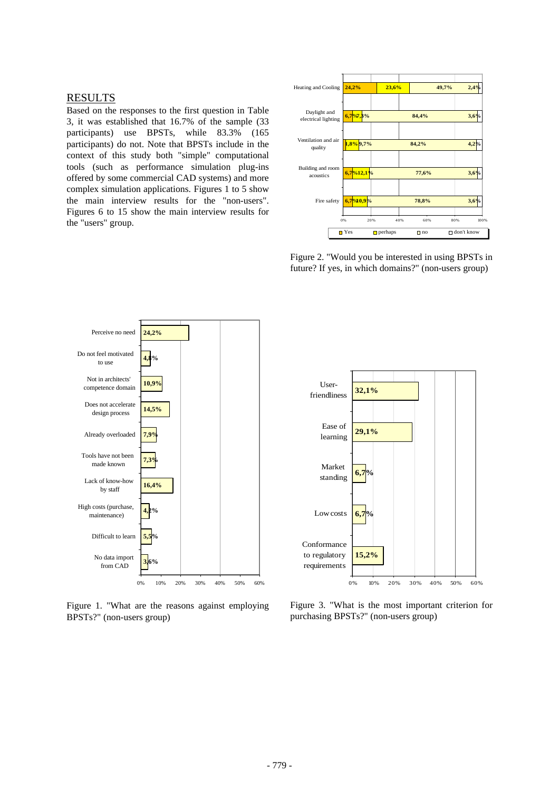## RESULTS

Based on the responses to the first question in Table 3, it was established that 16.7% of the sample (33 participants) use BPSTs, while 83.3% (165 participants) do not. Note that BPSTs include in the context of this study both "simple" computational tools (such as performance simulation plug-ins offered by some commercial CAD systems) and more complex simulation applications. Figures 1 to 5 show the main interview results for the "non-users". Figures 6 to 15 show the main interview results for the "users" group.



Figure 2. "Would you be interested in using BPSTs in future? If yes, in which domains?" (non-users group)



Figure 1. "What are the reasons against employing BPSTs?" (non-users group)



Figure 3. "What is the most important criterion for purchasing BPSTs?" (non-users group)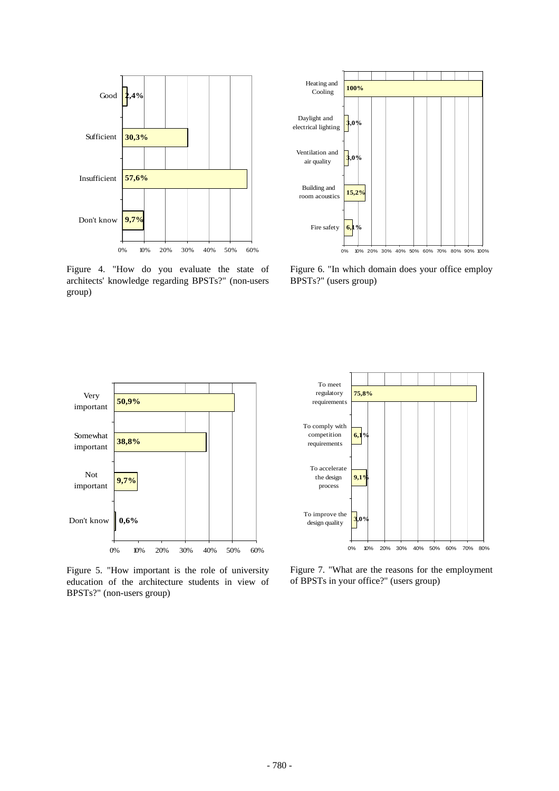

Figure 4. "How do you evaluate the state of architects' knowledge regarding BPSTs?" (non-users group)



Figure 6. "In which domain does your office employ BPSTs?" (users group)



Figure 5. "How important is the role of university education of the architecture students in view of BPSTs?" (non-users group)



Figure 7. "What are the reasons for the employment of BPSTs in your office?" (users group)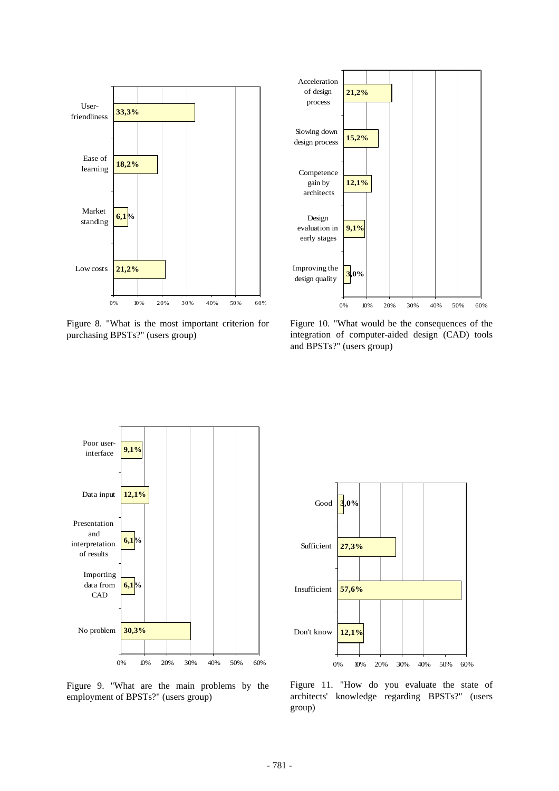



Figure 8. "What is the most important criterion for purchasing BPSTs?" (users group)

Figure 10. "What would be the consequences of the integration of computer-aided design (CAD) tools and BPSTs?" (users group)







Figure 11. "How do you evaluate the state of architects' knowledge regarding BPSTs?" (users group)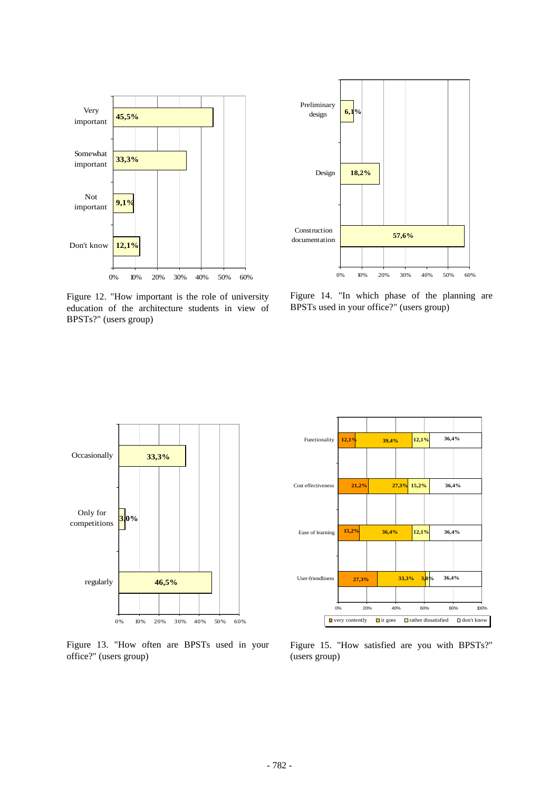

Figure 12. "How important is the role of university education of the architecture students in view of BPSTs?" (users group)



Figure 14. "In which phase of the planning are BPSTs used in your office?" (users group)



Figure 13. "How often are BPSTs used in your office?" (users group)



Figure 15. "How satisfied are you with BPSTs?" (users group)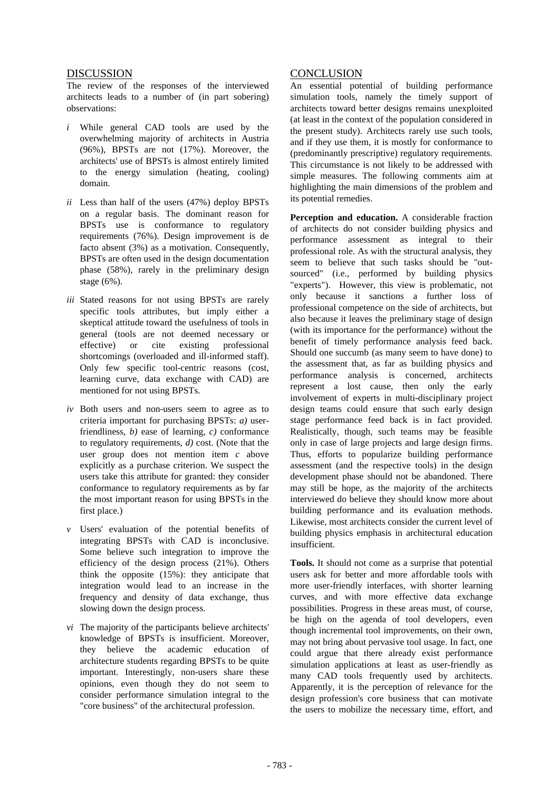## **DISCUSSION**

The review of the responses of the interviewed architects leads to a number of (in part sobering) observations:

- *i* While general CAD tools are used by the overwhelming majority of architects in Austria (96%), BPSTs are not (17%). Moreover, the architects' use of BPSTs is almost entirely limited to the energy simulation (heating, cooling) domain.
- *ii* Less than half of the users (47%) deploy BPSTs on a regular basis. The dominant reason for BPSTs use is conformance to regulatory requirements (76%). Design improvement is de facto absent (3%) as a motivation. Consequently, BPSTs are often used in the design documentation phase (58%), rarely in the preliminary design stage (6%).
- *iii* Stated reasons for not using BPSTs are rarely specific tools attributes, but imply either a skeptical attitude toward the usefulness of tools in general (tools are not deemed necessary or effective) or cite existing professional shortcomings (overloaded and ill-informed staff). Only few specific tool-centric reasons (cost, learning curve, data exchange with CAD) are mentioned for not using BPSTs.
- *iv* Both users and non-users seem to agree as to criteria important for purchasing BPSTs: *a)* userfriendliness, *b)* ease of learning, *c)* conformance to regulatory requirements, *d)* cost. (Note that the user group does not mention item *c* above explicitly as a purchase criterion. We suspect the users take this attribute for granted: they consider conformance to regulatory requirements as by far the most important reason for using BPSTs in the first place.)
- *v* Users' evaluation of the potential benefits of integrating BPSTs with CAD is inconclusive. Some believe such integration to improve the efficiency of the design process (21%). Others think the opposite  $(15%)$ : they anticipate that integration would lead to an increase in the frequency and density of data exchange, thus slowing down the design process.
- *vi* The majority of the participants believe architects' knowledge of BPSTs is insufficient. Moreover, they believe the academic education of architecture students regarding BPSTs to be quite important. Interestingly, non-users share these opinions, even though they do not seem to consider performance simulation integral to the "core business" of the architectural profession.

# **CONCLUSION**

An essential potential of building performance simulation tools, namely the timely support of architects toward better designs remains unexploited (at least in the context of the population considered in the present study). Architects rarely use such tools, and if they use them, it is mostly for conformance to (predominantly prescriptive) regulatory requirements. This circumstance is not likely to be addressed with simple measures. The following comments aim at highlighting the main dimensions of the problem and its potential remedies.

**Perception and education.** A considerable fraction of architects do not consider building physics and performance assessment as integral to their professional role. As with the structural analysis, they seem to believe that such tasks should be "outsourced" (i.e., performed by building physics "experts"). However, this view is problematic, not only because it sanctions a further loss of professional competence on the side of architects, but also because it leaves the preliminary stage of design (with its importance for the performance) without the benefit of timely performance analysis feed back. Should one succumb (as many seem to have done) to the assessment that, as far as building physics and performance analysis is concerned, architects represent a lost cause, then only the early involvement of experts in multi-disciplinary project design teams could ensure that such early design stage performance feed back is in fact provided. Realistically, though, such teams may be feasible only in case of large projects and large design firms. Thus, efforts to popularize building performance assessment (and the respective tools) in the design development phase should not be abandoned. There may still be hope, as the majority of the architects interviewed do believe they should know more about building performance and its evaluation methods. Likewise, most architects consider the current level of building physics emphasis in architectural education insufficient.

**Tools.** It should not come as a surprise that potential users ask for better and more affordable tools with more user-friendly interfaces, with shorter learning curves, and with more effective data exchange possibilities. Progress in these areas must, of course, be high on the agenda of tool developers, even though incremental tool improvements, on their own, may not bring about pervasive tool usage. In fact, one could argue that there already exist performance simulation applications at least as user-friendly as many CAD tools frequently used by architects. Apparently, it is the perception of relevance for the design profession's core business that can motivate the users to mobilize the necessary time, effort, and